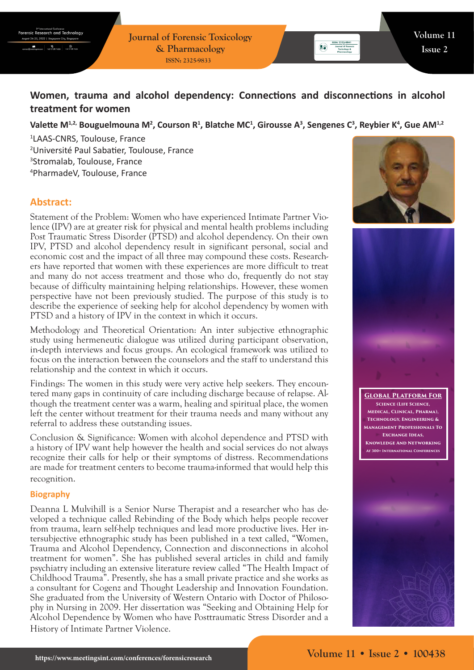**Journal of Forensic Toxicology & Pharmacology ISSN: 2325-9833**

# **Women, trauma and alcohol dependency: Connections and disconnections in alcohol treatment for women**

### Valette M<sup>1,2,</sup> Bouguelmouna M<sup>2</sup>, Courson R<sup>1</sup>, Blatche MC<sup>1</sup>, Girousse A<sup>3</sup>, Sengenes C<sup>3</sup>, Reybier K<sup>4</sup>, Gue AM<sup>1,2</sup>

 LAAS-CNRS, Toulouse, France Université Paul Sabatier, Toulouse, France Stromalab, Toulouse, France PharmadeV, Toulouse, France

# **Abstract:**

Statement of the Problem: Women who have experienced Intimate Partner Violence (IPV) are at greater risk for physical and mental health problems including Post Traumatic Stress Disorder (PTSD) and alcohol dependency. On their own IPV, PTSD and alcohol dependency result in significant personal, social and economic cost and the impact of all three may compound these costs. Researchers have reported that women with these experiences are more difficult to treat and many do not access treatment and those who do, frequently do not stay because of difficulty maintaining helping relationships. However, these women perspective have not been previously studied. The purpose of this study is to describe the experience of seeking help for alcohol dependency by women with PTSD and a history of IPV in the context in which it occurs.

Methodology and Theoretical Orientation: An inter subjective ethnographic study using hermeneutic dialogue was utilized during participant observation, in-depth interviews and focus groups. An ecological framework was utilized to focus on the interaction between the counselors and the staff to understand this relationship and the context in which it occurs.

Findings: The women in this study were very active help seekers. They encountered many gaps in continuity of care including discharge because of relapse. Although the treatment center was a warm, healing and spiritual place, the women left the center without treatment for their trauma needs and many without any referral to address these outstanding issues.

Conclusion & Significance: Women with alcohol dependence and PTSD with a history of IPV want help however the health and social services do not always recognize their calls for help or their symptoms of distress. Recommendations are made for treatment centers to become trauma-informed that would help this recognition.

#### **Biography**

Deanna L Mulvihill is a Senior Nurse Therapist and a researcher who has developed a technique called Rebinding of the Body which helps people recover from trauma, learn self-help techniques and lead more productive lives. Her intersubjective ethnographic study has been published in a text called, "Women, Trauma and Alcohol Dependency, Connection and disconnections in alcohol treatment for women". She has published several articles in child and family psychiatry including an extensive literature review called "The Health Impact of Childhood Trauma". Presently, she has a small private practice and she works as a consultant for Cogenz and Thought Leadership and Innovation Foundation. She graduated from the University of Western Ontario with Doctor of Philosophy in Nursing in 2009. Her dissertation was "Seeking and Obtaining Help for Alcohol Dependence by Women who have Posttraumatic Stress Disorder and a History of Intimate Partner Violence.





**Global Platform For Science (Life Science, Medical, Clinical, Pharma), Technology, Engineering & Management Professionals To Exchange Ideas, Knowledge And Networking At 300+ International Conferences**